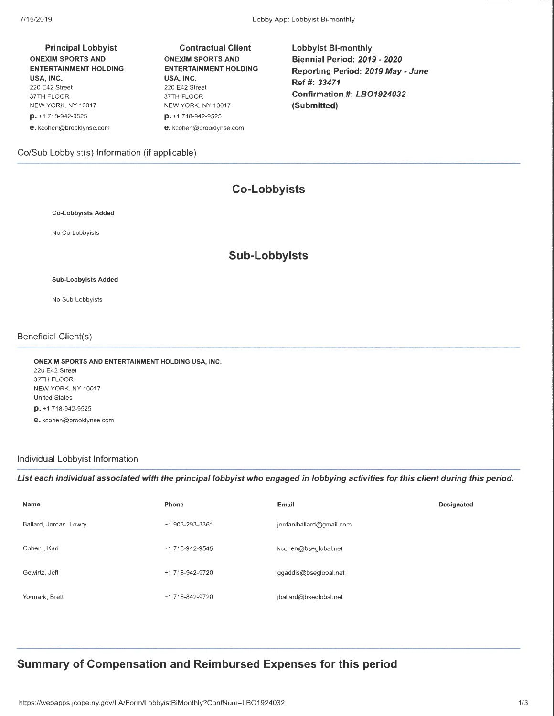Principal Lobbyist ONEXIM SPORTS AND ENTERTAINMENT HOLDING USA, INC. 220 E42 Street 37TH FLOOR NEW YORK, NY 10017 p. +1 718-942-9525 e. kcohen@brooklynse.com

Contractual Client ONEXIM SPORTS AND ENTERTAINMENT HOLDING USA, INC. 220 E42 Street 37TH FLOOR NEW YORK, NY 10017 p. +1 718-942-9525 e. kcohen@brooklynse.com

Lobbyist Bi-monthly Biennial Period: 2019- 2020 Reporting Period: 2019 May- June Ref#: 33471 Confirmation #: LB01924032 (Submitted)

#### Co/Sub Lobbyist(s) Information (if applicable)

# **Co-Lobbyists Sub-Lobbyists**

## Sub-Lobbyists Added

Co-Lobbyists Added

No Co-Lobbyists

No Sub-Lobbyists

#### Beneficial Client(s)

ONEXIM SPORTS AND ENTERTAINMENT HOLDING USA, INC. 220 E42 Street 37TH FLOOR NEW YORK, NY 10017 United States p. +1 718-942-9525 e. kcohen@brooklynse.com

#### Individual Lobbyist Information

List each individual associated with the principal lobbyist who engaged in lobbying activities for this client during this period.

| Name                   | Phone           | Email                    | Designated |
|------------------------|-----------------|--------------------------|------------|
| Ballard, Jordan, Lowry | +1 903-293-3361 | jordanlballard@gmail.com |            |
| Cohen, Kari            | +1 718-942-9545 | kcohen@bseglobal.net     |            |
| Gewirtz, Jeff          | +1 718-942-9720 | ggaddis@bseglobal.net    |            |
| Yormark, Brett         | +1 718-842-9720 | jballard@bseglobal.net   |            |

# **Summary of Compensation and Reimbursed Expenses for this period**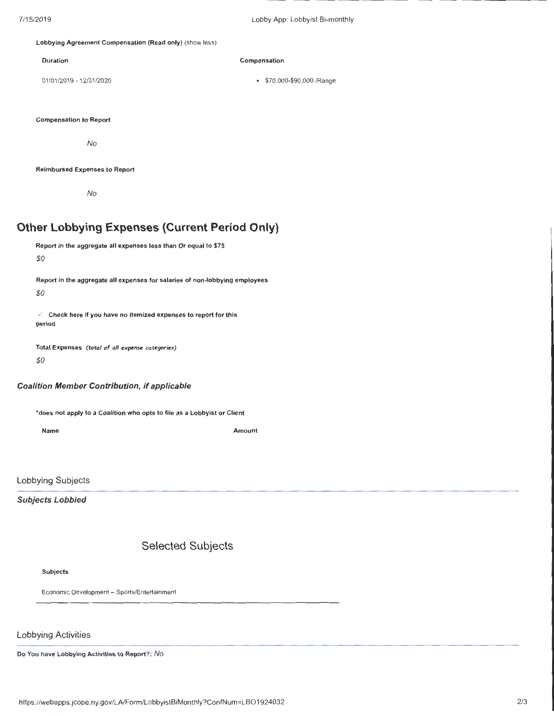#### Lobbying Agreement Compensation (Read only) (show less)

Duration **Compensation** 

01 /01 /2019- 12/31 /2020 • \$70,000-\$90,000 /Range

Compensation to Report

No

#### Reimbursed Expenses to Report

No

# **Other Lobbying Expenses (Current Period Only)**

```
Report in the aggregate all expenses less than Or equal to $75
```
*\$0* 

Report in the aggregate all expenses for salaries of non-lobbying employees

*\$0* 

 $\mathcal{C}$  Check here if you have no itemized expenses to report for this period

Total Expenses (total of all expense categories) *\$0* 

#### Coalition Member Contribution, if applicable

\*does not apply to a Coalition who opts to file as a Lobbyist or Client

Name Amount

Lobbying Subjects

Subjects Lobbied

# Selected Subjects

#### Subjects

Economic Development- Sports/Entertainment

### Lobbying Activities

Do You have Lobbying Activities to Report?: No